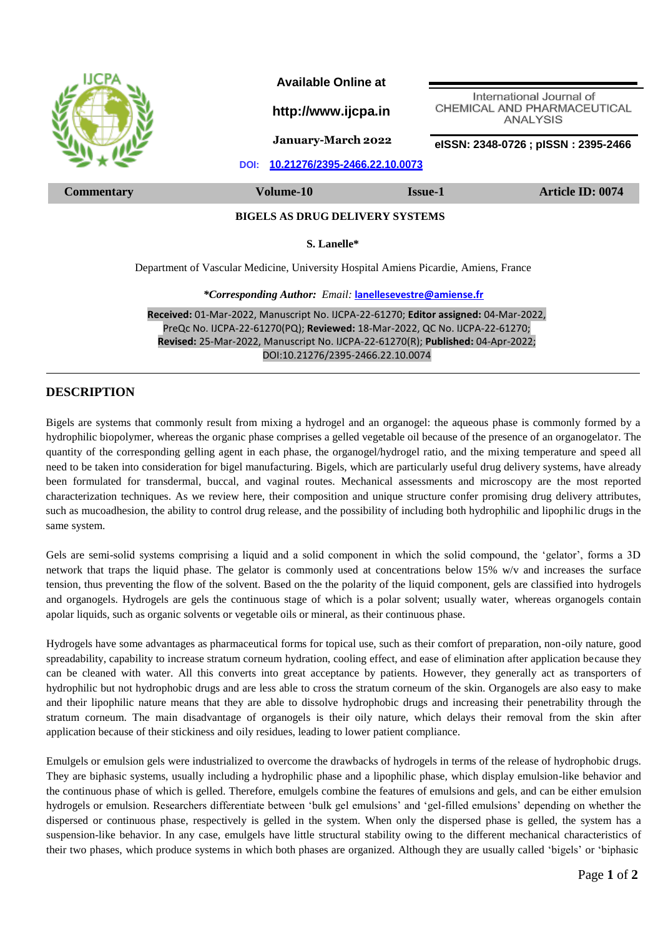

**Received:** 01-Mar-2022, Manuscript No. IJCPA-22-61270; **Editor assigned:** 04-Mar-2022, PreQc No. IJCPA-22-61270(PQ); **Reviewed:** 18-Mar-2022, QC No. IJCPA-22-61270; **Revised:** 25-Mar-2022, Manuscript No. IJCPA-22-61270(R); **Published:** 04-Apr-2022; DOI:10.21276/2395-2466.22.10.0074

## **DESCRIPTION**

Bigels are systems that commonly result from mixing a hydrogel and an organogel: the aqueous phase is commonly formed by a hydrophilic biopolymer, whereas the organic phase comprises a gelled vegetable oil because of the presence of an organogelator. The quantity of the corresponding gelling agent in each phase, the organogel/hydrogel ratio, and the mixing temperature and speed all need to be taken into consideration for bigel manufacturing. Bigels, which are particularly useful drug delivery systems, have already been formulated for transdermal, buccal, and vaginal routes. Mechanical assessments and microscopy are the most reported characterization techniques. As we review here, their composition and unique structure confer promising drug delivery attributes, such as mucoadhesion, the ability to control drug release, and the possibility of including both hydrophilic and lipophilic drugs in the same system.

Gels are semi-solid systems comprising a liquid and a solid component in which the solid compound, the 'gelator', forms a 3D network that traps the liquid phase. The gelator is commonly used at concentrations below 15% w/v and increases the surface tension, thus preventing the flow of the solvent. Based on the the polarity of the liquid component, gels are classified into hydrogels and organogels. Hydrogels are gels the continuous stage of which is a polar solvent; usually water, whereas organogels contain apolar liquids, such as organic solvents or vegetable oils or mineral, as their continuous phase.

Hydrogels have some advantages as pharmaceutical forms for topical use, such as their comfort of preparation, non-oily nature, good spreadability, capability to increase stratum corneum hydration, cooling effect, and ease of elimination after application because they can be cleaned with water. All this converts into great acceptance by patients. However, they generally act as transporters of hydrophilic but not hydrophobic drugs and are less able to cross the stratum corneum of the skin. Organogels are also easy to make and their lipophilic nature means that they are able to dissolve hydrophobic drugs and increasing their penetrability through the stratum corneum. The main disadvantage of organogels is their oily nature, which delays their removal from the skin after application because of their stickiness and oily residues, leading to lower patient compliance.

Emulgels or emulsion gels were industrialized to overcome the drawbacks of hydrogels in terms of the release of hydrophobic drugs. They are biphasic systems, usually including a hydrophilic phase and a lipophilic phase, which display emulsion-like behavior and the continuous phase of which is gelled. Therefore, emulgels combine the features of emulsions and gels, and can be either emulsion hydrogels or emulsion. Researchers differentiate between 'bulk gel emulsions' and 'gel-filled emulsions' depending on whether the dispersed or continuous phase, respectively is gelled in the system. When only the dispersed phase is gelled, the system has a suspension-like behavior. In any case, emulgels have little structural stability owing to the different mechanical characteristics of their two phases, which produce systems in which both phases are organized. Although they are usually called 'bigels' or 'biphasic